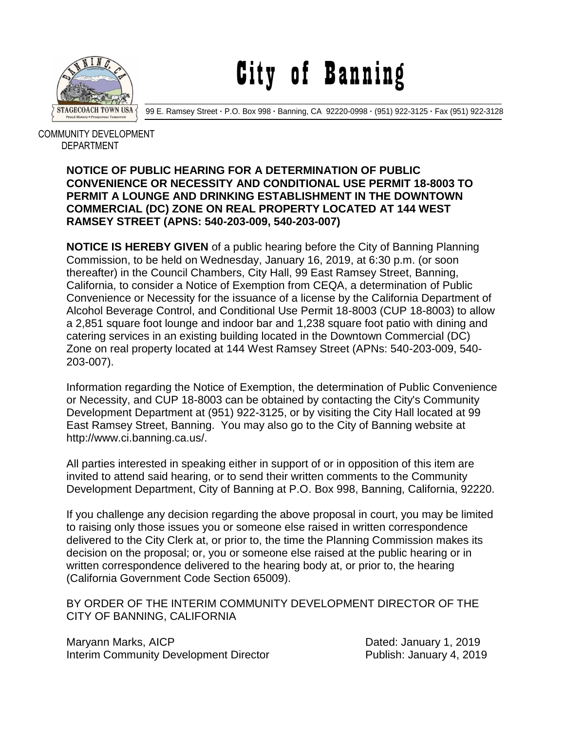

City of Banning

99 E. Ramsey Street **·** P.O. Box 998 **·** Banning, CA 92220-0998 **·** (951) 922-3125 **·** Fax (951) 922-3128

 COMMUNITY DEVELOPMENT DEPARTMENT

## **NOTICE OF PUBLIC HEARING FOR A DETERMINATION OF PUBLIC CONVENIENCE OR NECESSITY AND CONDITIONAL USE PERMIT 18-8003 TO PERMIT A LOUNGE AND DRINKING ESTABLISHMENT IN THE DOWNTOWN COMMERCIAL (DC) ZONE ON REAL PROPERTY LOCATED AT 144 WEST RAMSEY STREET (APNS: 540-203-009, 540-203-007)**

**NOTICE IS HEREBY GIVEN** of a public hearing before the City of Banning Planning Commission, to be held on Wednesday, January 16, 2019, at 6:30 p.m. (or soon thereafter) in the Council Chambers, City Hall, 99 East Ramsey Street, Banning, California, to consider a Notice of Exemption from CEQA, a determination of Public Convenience or Necessity for the issuance of a license by the California Department of Alcohol Beverage Control, and Conditional Use Permit 18-8003 (CUP 18-8003) to allow a 2,851 square foot lounge and indoor bar and 1,238 square foot patio with dining and catering services in an existing building located in the Downtown Commercial (DC) Zone on real property located at 144 West Ramsey Street (APNs: 540-203-009, 540- 203-007).

Information regarding the Notice of Exemption, the determination of Public Convenience or Necessity, and CUP 18-8003 can be obtained by contacting the City's Community Development Department at (951) 922-3125, or by visiting the City Hall located at 99 East Ramsey Street, Banning. You may also go to the City of Banning website at http://www.ci.banning.ca.us/.

All parties interested in speaking either in support of or in opposition of this item are invited to attend said hearing, or to send their written comments to the Community Development Department, City of Banning at P.O. Box 998, Banning, California, 92220.

If you challenge any decision regarding the above proposal in court, you may be limited to raising only those issues you or someone else raised in written correspondence delivered to the City Clerk at, or prior to, the time the Planning Commission makes its decision on the proposal; or, you or someone else raised at the public hearing or in written correspondence delivered to the hearing body at, or prior to, the hearing (California Government Code Section 65009).

BY ORDER OF THE INTERIM COMMUNITY DEVELOPMENT DIRECTOR OF THE CITY OF BANNING, CALIFORNIA

Maryann Marks, AICP **Dated: January 1, 2019** Interim Community Development Director Fublish: January 4, 2019